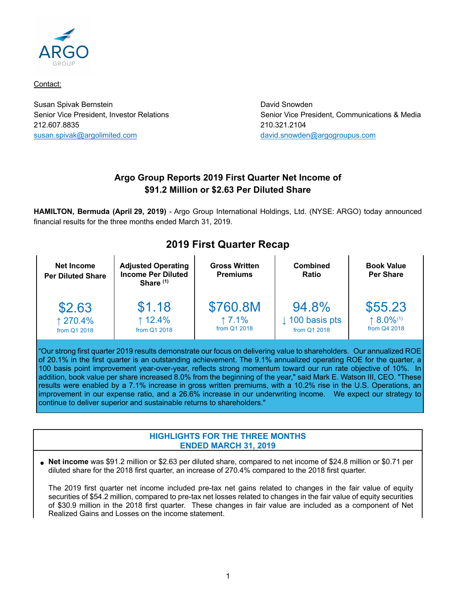

Contact:

Susan Spivak Bernstein Senior Vice President, Investor Relations 212.607.8835 susan.spivak@argolimited.com

David Snowden Senior Vice President, Communications & Media 210.321.2104 david.snowden@argogroupus.com

# **Argo Group Reports 2019 First Quarter Net Income of \$91.2 Million or \$2.63 Per Diluted Share**

**HAMILTON, Bermuda (April 29, 2019)** - Argo Group International Holdings, Ltd. (NYSE: ARGO) today announced financial results for the three months ended March 31, 2019.

# **2019 First Quarter Recap**

| Net Income<br><b>Per Diluted Share</b> | <b>Adjusted Operating</b><br><b>Income Per Diluted</b><br>Share $(1)$ |              | <b>Combined</b><br><b>Ratio</b> | <b>Book Value</b><br><b>Per Share</b> |
|----------------------------------------|-----------------------------------------------------------------------|--------------|---------------------------------|---------------------------------------|
| \$2.63                                 | \$1.18                                                                | \$760.8M     | 94.8%                           | \$55.23                               |
| ↑ 270.4%                               | $\uparrow$ 12.4%                                                      | 17.1%        | 100 basis pts                   | $\uparrow 8.0\%$ <sup>(1)</sup>       |
| from Q1 2018                           | from Q1 2018                                                          | from Q1 2018 | from Q1 2018                    | from Q4 2018                          |

"Our strong first quarter 2019 results demonstrate our focus on delivering value to shareholders. Our annualized ROE of 20.1% in the first quarter is an outstanding achievement. The 9.1% annualized operating ROE for the quarter, a 100 basis point improvement year-over-year, reflects strong momentum toward our run rate objective of 10%. In addition, book value per share increased 8.0% from the beginning of the year," said Mark E. Watson III, CEO. "These results were enabled by a 7.1% increase in gross written premiums, with a 10.2% rise in the U.S. Operations, an improvement in our expense ratio, and a 26.6% increase in our underwriting income. We expect our strategy to continue to deliver superior and sustainable returns to shareholders."

### **HIGHLIGHTS FOR THE THREE MONTHS ENDED MARCH 31, 2019**

● **Net income** was \$91.2 million or \$2.63 per diluted share, compared to net income of \$24.8 million or \$0.71 per diluted share for the 2018 first quarter, an increase of 270.4% compared to the 2018 first quarter.

The 2019 first quarter net income included pre-tax net gains related to changes in the fair value of equity securities of \$54.2 million, compared to pre-tax net losses related to changes in the fair value of equity securities of \$30.9 million in the 2018 first quarter. These changes in fair value are included as a component of Net Realized Gains and Losses on the income statement.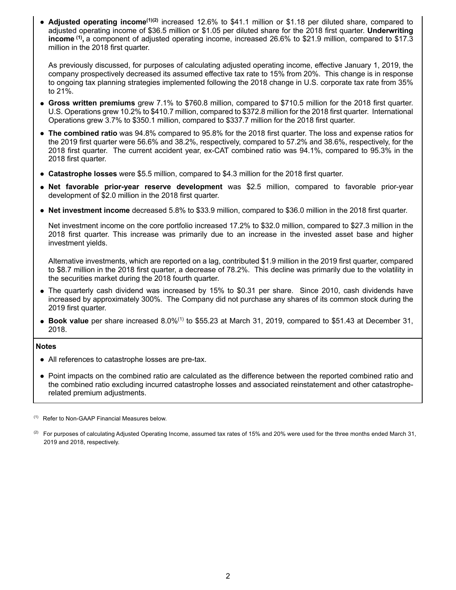● **Adjusted operating income(1)(2)** increased 12.6% to \$41.1 million or \$1.18 per diluted share, compared to adjusted operating income of \$36.5 million or \$1.05 per diluted share for the 2018 first quarter. **Underwriting income (1),** a component of adjusted operating income, increased 26.6% to \$21.9 million, compared to \$17.3 million in the 2018 first quarter.

As previously discussed, for purposes of calculating adjusted operating income, effective January 1, 2019, the company prospectively decreased its assumed effective tax rate to 15% from 20%. This change is in response to ongoing tax planning strategies implemented following the 2018 change in U.S. corporate tax rate from 35% to 21%.

- **Gross written premiums** grew 7.1% to \$760.8 million, compared to \$710.5 million for the 2018 first quarter. U.S. Operations grew 10.2% to \$410.7 million, compared to \$372.8 million for the 2018 first quarter. International Operations grew 3.7% to \$350.1 million, compared to \$337.7 million for the 2018 first quarter.
- **The combined ratio** was 94.8% compared to 95.8% for the 2018 first quarter. The loss and expense ratios for the 2019 first quarter were 56.6% and 38.2%, respectively, compared to 57.2% and 38.6%, respectively, for the 2018 first quarter. The current accident year, ex-CAT combined ratio was 94.1%, compared to 95.3% in the 2018 first quarter.
- **Catastrophe losses** were \$5.5 million, compared to \$4.3 million for the 2018 first quarter.
- **Net favorable prior-year reserve development** was \$2.5 million, compared to favorable prior-year development of \$2.0 million in the 2018 first quarter.
- **Net investment income** decreased 5.8% to \$33.9 million, compared to \$36.0 million in the 2018 first quarter.

Net investment income on the core portfolio increased 17.2% to \$32.0 million, compared to \$27.3 million in the 2018 first quarter. This increase was primarily due to an increase in the invested asset base and higher investment yields.

Alternative investments, which are reported on a lag, contributed \$1.9 million in the 2019 first quarter, compared to \$8.7 million in the 2018 first quarter, a decrease of 78.2%. This decline was primarily due to the volatility in the securities market during the 2018 fourth quarter.

- The quarterly cash dividend was increased by 15% to \$0.31 per share. Since 2010, cash dividends have increased by approximately 300%. The Company did not purchase any shares of its common stock during the 2019 first quarter.
- **Book value** per share increased 8.0%(1) to \$55.23 at March 31, 2019, compared to \$51.43 at December 31, 2018.

#### **Notes**

- All references to catastrophe losses are pre-tax.
- Point impacts on the combined ratio are calculated as the difference between the reported combined ratio and the combined ratio excluding incurred catastrophe losses and associated reinstatement and other catastropherelated premium adjustments.

(1) Refer to Non-GAAP Financial Measures below.

 $(2)$  For purposes of calculating Adjusted Operating Income, assumed tax rates of 15% and 20% were used for the three months ended March 31, 2019 and 2018, respectively.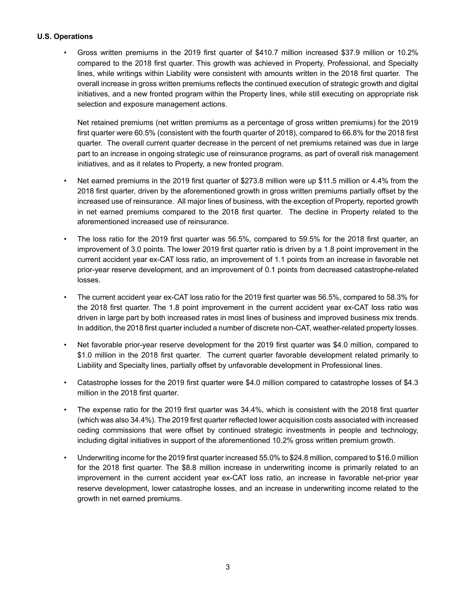### **U.S. Operations**

• Gross written premiums in the 2019 first quarter of \$410.7 million increased \$37.9 million or 10.2% compared to the 2018 first quarter. This growth was achieved in Property, Professional, and Specialty lines, while writings within Liability were consistent with amounts written in the 2018 first quarter. The overall increase in gross written premiums reflects the continued execution of strategic growth and digital initiatives, and a new fronted program within the Property lines, while still executing on appropriate risk selection and exposure management actions.

Net retained premiums (net written premiums as a percentage of gross written premiums) for the 2019 first quarter were 60.5% (consistent with the fourth quarter of 2018), compared to 66.8% for the 2018 first quarter. The overall current quarter decrease in the percent of net premiums retained was due in large part to an increase in ongoing strategic use of reinsurance programs, as part of overall risk management initiatives, and as it relates to Property, a new fronted program.

- Net earned premiums in the 2019 first quarter of \$273.8 million were up \$11.5 million or 4.4% from the 2018 first quarter, driven by the aforementioned growth in gross written premiums partially offset by the increased use of reinsurance. All major lines of business, with the exception of Property, reported growth in net earned premiums compared to the 2018 first quarter. The decline in Property related to the aforementioned increased use of reinsurance.
- The loss ratio for the 2019 first quarter was 56.5%, compared to 59.5% for the 2018 first quarter, an improvement of 3.0 points. The lower 2019 first quarter ratio is driven by a 1.8 point improvement in the current accident year ex-CAT loss ratio, an improvement of 1.1 points from an increase in favorable net prior-year reserve development, and an improvement of 0.1 points from decreased catastrophe-related losses.
- The current accident year ex-CAT loss ratio for the 2019 first quarter was 56.5%, compared to 58.3% for the 2018 first quarter. The 1.8 point improvement in the current accident year ex-CAT loss ratio was driven in large part by both increased rates in most lines of business and improved business mix trends. In addition, the 2018 first quarter included a number of discrete non-CAT, weather-related property losses.
- Net favorable prior-year reserve development for the 2019 first quarter was \$4.0 million, compared to \$1.0 million in the 2018 first quarter. The current quarter favorable development related primarily to Liability and Specialty lines, partially offset by unfavorable development in Professional lines.
- Catastrophe losses for the 2019 first quarter were \$4.0 million compared to catastrophe losses of \$4.3 million in the 2018 first quarter.
- The expense ratio for the 2019 first quarter was 34.4%, which is consistent with the 2018 first quarter (which was also 34.4%). The 2019 first quarter reflected lower acquisition costs associated with increased ceding commissions that were offset by continued strategic investments in people and technology, including digital initiatives in support of the aforementioned 10.2% gross written premium growth.
- Underwriting income for the 2019 first quarter increased 55.0% to \$24.8 million, compared to \$16.0 million for the 2018 first quarter. The \$8.8 million increase in underwriting income is primarily related to an improvement in the current accident year ex-CAT loss ratio, an increase in favorable net-prior year reserve development, lower catastrophe losses, and an increase in underwriting income related to the growth in net earned premiums.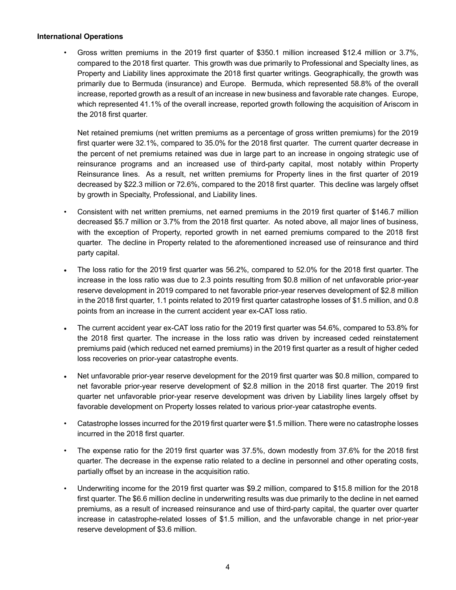#### **International Operations**

• Gross written premiums in the 2019 first quarter of \$350.1 million increased \$12.4 million or 3.7%, compared to the 2018 first quarter. This growth was due primarily to Professional and Specialty lines, as Property and Liability lines approximate the 2018 first quarter writings. Geographically, the growth was primarily due to Bermuda (insurance) and Europe. Bermuda, which represented 58.8% of the overall increase, reported growth as a result of an increase in new business and favorable rate changes. Europe, which represented 41.1% of the overall increase, reported growth following the acquisition of Ariscom in the 2018 first quarter.

Net retained premiums (net written premiums as a percentage of gross written premiums) for the 2019 first quarter were 32.1%, compared to 35.0% for the 2018 first quarter. The current quarter decrease in the percent of net premiums retained was due in large part to an increase in ongoing strategic use of reinsurance programs and an increased use of third-party capital, most notably within Property Reinsurance lines. As a result, net written premiums for Property lines in the first quarter of 2019 decreased by \$22.3 million or 72.6%, compared to the 2018 first quarter. This decline was largely offset by growth in Specialty, Professional, and Liability lines.

- Consistent with net written premiums, net earned premiums in the 2019 first quarter of \$146.7 million decreased \$5.7 million or 3.7% from the 2018 first quarter. As noted above, all major lines of business, with the exception of Property, reported growth in net earned premiums compared to the 2018 first quarter. The decline in Property related to the aforementioned increased use of reinsurance and third party capital.
- The loss ratio for the 2019 first quarter was 56.2%, compared to 52.0% for the 2018 first quarter. The increase in the loss ratio was due to 2.3 points resulting from \$0.8 million of net unfavorable prior-year reserve development in 2019 compared to net favorable prior-year reserves development of \$2.8 million in the 2018 first quarter, 1.1 points related to 2019 first quarter catastrophe losses of \$1.5 million, and 0.8 points from an increase in the current accident year ex-CAT loss ratio.
- The current accident year ex-CAT loss ratio for the 2019 first quarter was 54.6%, compared to 53.8% for the 2018 first quarter. The increase in the loss ratio was driven by increased ceded reinstatement premiums paid (which reduced net earned premiums) in the 2019 first quarter as a result of higher ceded loss recoveries on prior-year catastrophe events.
- Net unfavorable prior-year reserve development for the 2019 first quarter was \$0.8 million, compared to net favorable prior-year reserve development of \$2.8 million in the 2018 first quarter. The 2019 first quarter net unfavorable prior-year reserve development was driven by Liability lines largely offset by favorable development on Property losses related to various prior-year catastrophe events.
- Catastrophe losses incurred for the 2019 first quarter were \$1.5 million. There were no catastrophe losses incurred in the 2018 first quarter.
- The expense ratio for the 2019 first quarter was 37.5%, down modestly from 37.6% for the 2018 first quarter. The decrease in the expense ratio related to a decline in personnel and other operating costs, partially offset by an increase in the acquisition ratio.
- Underwriting income for the 2019 first quarter was \$9.2 million, compared to \$15.8 million for the 2018 first quarter. The \$6.6 million decline in underwriting results was due primarily to the decline in net earned premiums, as a result of increased reinsurance and use of third-party capital, the quarter over quarter increase in catastrophe-related losses of \$1.5 million, and the unfavorable change in net prior-year reserve development of \$3.6 million.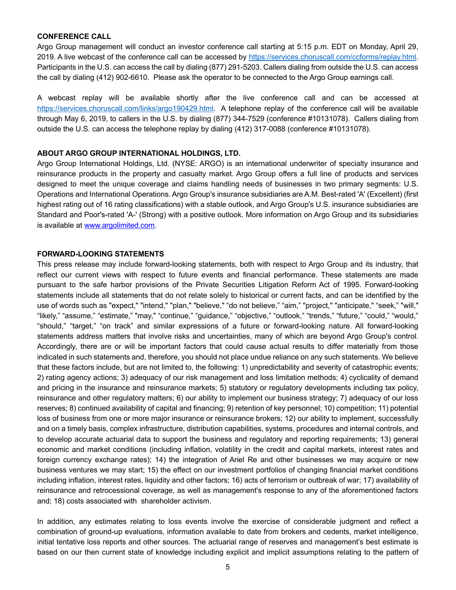#### **CONFERENCE CALL**

Argo Group management will conduct an investor conference call starting at 5:15 p.m. EDT on Monday, April 29, 2019. A live webcast of the conference call can be accessed by https://services.choruscall.com/ccforms/replay.html. Participants in the U.S. can access the call by dialing (877) 291-5203. Callers dialing from outside the U.S. can access the call by dialing (412) 902-6610. Please ask the operator to be connected to the Argo Group earnings call.

A webcast replay will be available shortly after the live conference call and can be accessed at https://services.choruscall.com/links/argo190429.html. A telephone replay of the conference call will be available through May 6, 2019, to callers in the U.S. by dialing (877) 344-7529 (conference #10131078). Callers dialing from outside the U.S. can access the telephone replay by dialing (412) 317-0088 (conference #10131078).

#### **ABOUT ARGO GROUP INTERNATIONAL HOLDINGS, LTD.**

Argo Group International Holdings, Ltd. (NYSE: ARGO) is an international underwriter of specialty insurance and reinsurance products in the property and casualty market. Argo Group offers a full line of products and services designed to meet the unique coverage and claims handling needs of businesses in two primary segments: U.S. Operations and International Operations. Argo Group's insurance subsidiaries are A.M. Best-rated 'A' (Excellent) (first highest rating out of 16 rating classifications) with a stable outlook, and Argo Group's U.S. insurance subsidiaries are Standard and Poor's-rated 'A-' (Strong) with a positive outlook. More information on Argo Group and its subsidiaries is available at www.argolimited.com.

#### **FORWARD-LOOKING STATEMENTS**

This press release may include forward-looking statements, both with respect to Argo Group and its industry, that reflect our current views with respect to future events and financial performance. These statements are made pursuant to the safe harbor provisions of the Private Securities Litigation Reform Act of 1995. Forward-looking statements include all statements that do not relate solely to historical or current facts, and can be identified by the use of words such as "expect," "intend," "plan," "believe," "do not believe," "aim," "project," "anticipate," "seek," "will," "likely," "assume," "estimate," "may," "continue," "guidance," "objective," "outlook," "trends," "future," "could," "would," "should," "target," "on track" and similar expressions of a future or forward-looking nature. All forward-looking statements address matters that involve risks and uncertainties, many of which are beyond Argo Group's control. Accordingly, there are or will be important factors that could cause actual results to differ materially from those indicated in such statements and, therefore, you should not place undue reliance on any such statements. We believe that these factors include, but are not limited to, the following: 1) unpredictability and severity of catastrophic events; 2) rating agency actions; 3) adequacy of our risk management and loss limitation methods; 4) cyclicality of demand and pricing in the insurance and reinsurance markets; 5) statutory or regulatory developments including tax policy, reinsurance and other regulatory matters; 6) our ability to implement our business strategy; 7) adequacy of our loss reserves; 8) continued availability of capital and financing; 9) retention of key personnel; 10) competition; 11) potential loss of business from one or more major insurance or reinsurance brokers; 12) our ability to implement, successfully and on a timely basis, complex infrastructure, distribution capabilities, systems, procedures and internal controls, and to develop accurate actuarial data to support the business and regulatory and reporting requirements; 13) general economic and market conditions (including inflation, volatility in the credit and capital markets, interest rates and foreign currency exchange rates); 14) the integration of Ariel Re and other businesses we may acquire or new business ventures we may start; 15) the effect on our investment portfolios of changing financial market conditions including inflation, interest rates, liquidity and other factors; 16) acts of terrorism or outbreak of war; 17) availability of reinsurance and retrocessional coverage, as well as management's response to any of the aforementioned factors and; 18) costs associated with shareholder activism.

In addition, any estimates relating to loss events involve the exercise of considerable judgment and reflect a combination of ground-up evaluations, information available to date from brokers and cedents, market intelligence, initial tentative loss reports and other sources. The actuarial range of reserves and management's best estimate is based on our then current state of knowledge including explicit and implicit assumptions relating to the pattern of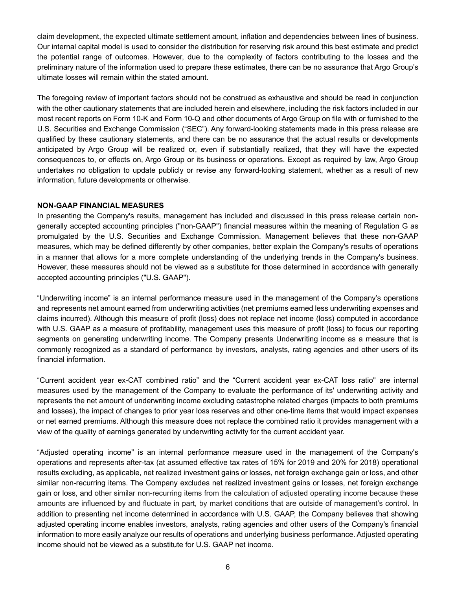claim development, the expected ultimate settlement amount, inflation and dependencies between lines of business. Our internal capital model is used to consider the distribution for reserving risk around this best estimate and predict the potential range of outcomes. However, due to the complexity of factors contributing to the losses and the preliminary nature of the information used to prepare these estimates, there can be no assurance that Argo Group's ultimate losses will remain within the stated amount.

The foregoing review of important factors should not be construed as exhaustive and should be read in conjunction with the other cautionary statements that are included herein and elsewhere, including the risk factors included in our most recent reports on Form 10-K and Form 10-Q and other documents of Argo Group on file with or furnished to the U.S. Securities and Exchange Commission ("SEC"). Any forward-looking statements made in this press release are qualified by these cautionary statements, and there can be no assurance that the actual results or developments anticipated by Argo Group will be realized or, even if substantially realized, that they will have the expected consequences to, or effects on, Argo Group or its business or operations. Except as required by law, Argo Group undertakes no obligation to update publicly or revise any forward-looking statement, whether as a result of new information, future developments or otherwise.

#### **NON-GAAP FINANCIAL MEASURES**

In presenting the Company's results, management has included and discussed in this press release certain nongenerally accepted accounting principles ("non-GAAP") financial measures within the meaning of Regulation G as promulgated by the U.S. Securities and Exchange Commission. Management believes that these non-GAAP measures, which may be defined differently by other companies, better explain the Company's results of operations in a manner that allows for a more complete understanding of the underlying trends in the Company's business. However, these measures should not be viewed as a substitute for those determined in accordance with generally accepted accounting principles ("U.S. GAAP").

"Underwriting income" is an internal performance measure used in the management of the Company's operations and represents net amount earned from underwriting activities (net premiums earned less underwriting expenses and claims incurred). Although this measure of profit (loss) does not replace net income (loss) computed in accordance with U.S. GAAP as a measure of profitability, management uses this measure of profit (loss) to focus our reporting segments on generating underwriting income. The Company presents Underwriting income as a measure that is commonly recognized as a standard of performance by investors, analysts, rating agencies and other users of its financial information.

"Current accident year ex-CAT combined ratio" and the "Current accident year ex-CAT loss ratio" are internal measures used by the management of the Company to evaluate the performance of its' underwriting activity and represents the net amount of underwriting income excluding catastrophe related charges (impacts to both premiums and losses), the impact of changes to prior year loss reserves and other one-time items that would impact expenses or net earned premiums. Although this measure does not replace the combined ratio it provides management with a view of the quality of earnings generated by underwriting activity for the current accident year.

"Adjusted operating income" is an internal performance measure used in the management of the Company's operations and represents after-tax (at assumed effective tax rates of 15% for 2019 and 20% for 2018) operational results excluding, as applicable, net realized investment gains or losses, net foreign exchange gain or loss, and other similar non-recurring items. The Company excludes net realized investment gains or losses, net foreign exchange gain or loss, and other similar non-recurring items from the calculation of adjusted operating income because these amounts are influenced by and fluctuate in part, by market conditions that are outside of management's control. In addition to presenting net income determined in accordance with U.S. GAAP, the Company believes that showing adjusted operating income enables investors, analysts, rating agencies and other users of the Company's financial information to more easily analyze our results of operations and underlying business performance. Adjusted operating income should not be viewed as a substitute for U.S. GAAP net income.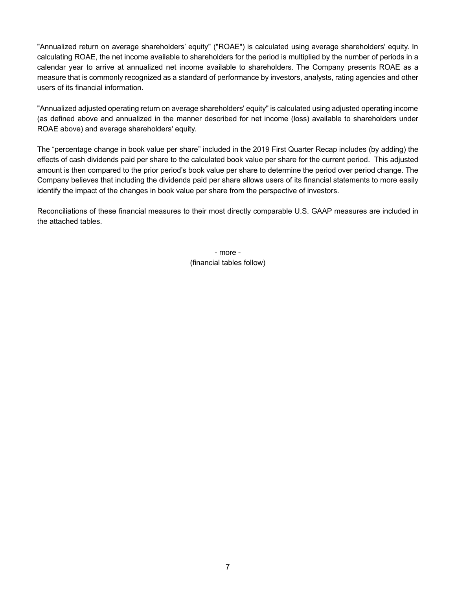"Annualized return on average shareholders' equity" ("ROAE") is calculated using average shareholders' equity. In calculating ROAE, the net income available to shareholders for the period is multiplied by the number of periods in a calendar year to arrive at annualized net income available to shareholders. The Company presents ROAE as a measure that is commonly recognized as a standard of performance by investors, analysts, rating agencies and other users of its financial information.

"Annualized adjusted operating return on average shareholders' equity" is calculated using adjusted operating income (as defined above and annualized in the manner described for net income (loss) available to shareholders under ROAE above) and average shareholders' equity.

The "percentage change in book value per share" included in the 2019 First Quarter Recap includes (by adding) the effects of cash dividends paid per share to the calculated book value per share for the current period. This adjusted amount is then compared to the prior period's book value per share to determine the period over period change. The Company believes that including the dividends paid per share allows users of its financial statements to more easily identify the impact of the changes in book value per share from the perspective of investors.

Reconciliations of these financial measures to their most directly comparable U.S. GAAP measures are included in the attached tables.

> - more - (financial tables follow)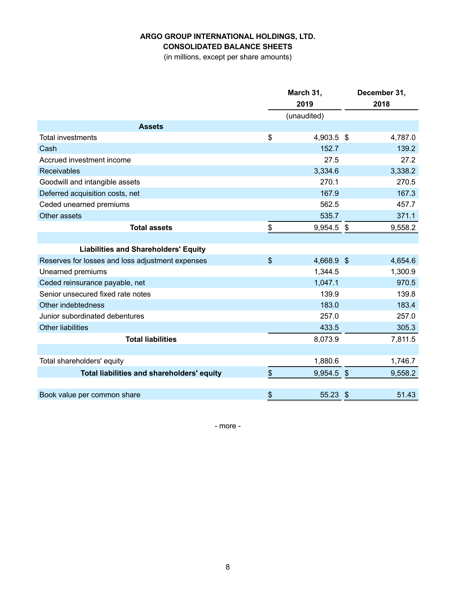# **ARGO GROUP INTERNATIONAL HOLDINGS, LTD. CONSOLIDATED BALANCE SHEETS**

(in millions, except per share amounts)

|                                                  |                   | March 31,   | December 31,                     |
|--------------------------------------------------|-------------------|-------------|----------------------------------|
|                                                  |                   | 2019        | 2018                             |
|                                                  |                   | (unaudited) |                                  |
| <b>Assets</b>                                    |                   |             |                                  |
| <b>Total investments</b>                         | \$                | 4,903.5 \$  | 4,787.0                          |
| Cash                                             |                   | 152.7       | 139.2                            |
| Accrued investment income                        |                   | 27.5        | 27.2                             |
| Receivables                                      |                   | 3,334.6     | 3,338.2                          |
| Goodwill and intangible assets                   |                   | 270.1       | 270.5                            |
| Deferred acquisition costs, net                  |                   | 167.9       | 167.3                            |
| Ceded unearned premiums                          |                   | 562.5       | 457.7                            |
| Other assets                                     |                   | 535.7       | 371.1                            |
| <b>Total assets</b>                              | \$                | 9,954.5 \$  | 9,558.2                          |
|                                                  |                   |             |                                  |
| <b>Liabilities and Shareholders' Equity</b>      |                   |             |                                  |
| Reserves for losses and loss adjustment expenses | $\mathfrak{S}$    | 4,668.9 \$  | 4,654.6                          |
| Unearned premiums                                |                   | 1,344.5     | 1,300.9                          |
| Ceded reinsurance payable, net                   |                   | 1,047.1     | 970.5                            |
| Senior unsecured fixed rate notes                |                   | 139.9       | 139.8                            |
| Other indebtedness                               |                   | 183.0       | 183.4                            |
| Junior subordinated debentures                   |                   | 257.0       | 257.0                            |
| <b>Other liabilities</b>                         |                   | 433.5       | 305.3                            |
| <b>Total liabilities</b>                         |                   | 8,073.9     | 7,811.5                          |
|                                                  |                   |             |                                  |
| Total shareholders' equity                       |                   | 1,880.6     | 1,746.7                          |
| Total liabilities and shareholders' equity       | \$                | 9,954.5 \$  | 9,558.2                          |
| Book value per common share                      | $\boldsymbol{\$}$ | 55.23       | 51.43<br>$\sqrt[6]{\frac{1}{2}}$ |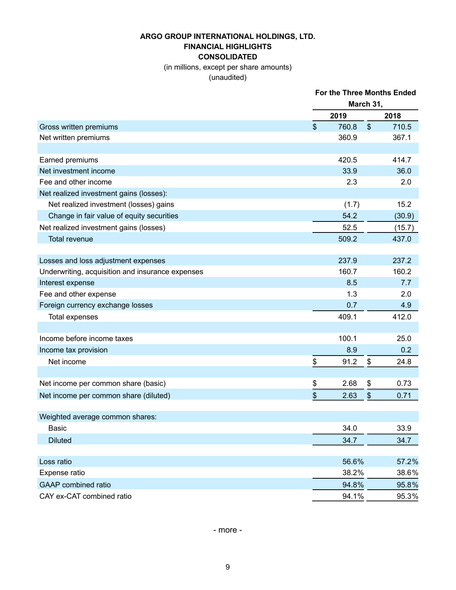## **ARGO GROUP INTERNATIONAL HOLDINGS, LTD. FINANCIAL HIGHLIGHTS CONSOLIDATED**

(in millions, except per share amounts)

(unaudited)

|                                                  |                           | For the Three Months Ended |               |        |  |
|--------------------------------------------------|---------------------------|----------------------------|---------------|--------|--|
|                                                  |                           | March 31,                  |               |        |  |
|                                                  |                           | 2019                       |               | 2018   |  |
| Gross written premiums                           | $\boldsymbol{\mathsf{S}}$ | 760.8                      | $\frac{1}{2}$ | 710.5  |  |
| Net written premiums                             |                           | 360.9                      |               | 367.1  |  |
|                                                  |                           |                            |               |        |  |
| Earned premiums                                  |                           | 420.5                      |               | 414.7  |  |
| Net investment income                            |                           | 33.9                       |               | 36.0   |  |
| Fee and other income                             |                           | 2.3                        |               | 2.0    |  |
| Net realized investment gains (losses):          |                           |                            |               |        |  |
| Net realized investment (losses) gains           |                           | (1.7)                      |               | 15.2   |  |
| Change in fair value of equity securities        |                           | 54.2                       |               | (30.9) |  |
| Net realized investment gains (losses)           |                           | 52.5                       |               | (15.7) |  |
| <b>Total revenue</b>                             |                           | 509.2                      |               | 437.0  |  |
|                                                  |                           |                            |               |        |  |
| Losses and loss adjustment expenses              |                           | 237.9                      |               | 237.2  |  |
| Underwriting, acquisition and insurance expenses |                           | 160.7                      |               | 160.2  |  |
| Interest expense                                 |                           | 8.5                        |               | 7.7    |  |
| Fee and other expense                            |                           | 1.3                        |               | 2.0    |  |
| Foreign currency exchange losses                 |                           | 0.7                        |               | 4.9    |  |
| <b>Total expenses</b>                            |                           | 409.1                      |               | 412.0  |  |
|                                                  |                           |                            |               |        |  |
| Income before income taxes                       |                           | 100.1                      |               | 25.0   |  |
| Income tax provision                             |                           | 8.9                        |               | 0.2    |  |
| Net income                                       | \$                        | 91.2                       | \$            | 24.8   |  |
|                                                  |                           |                            |               |        |  |
| Net income per common share (basic)              | \$                        | 2.68                       | \$            | 0.73   |  |
| Net income per common share (diluted)            | $\frac{1}{2}$             | 2.63                       | \$            | 0.71   |  |
|                                                  |                           |                            |               |        |  |
| Weighted average common shares:                  |                           |                            |               |        |  |
| <b>Basic</b>                                     |                           | 34.0                       |               | 33.9   |  |
| <b>Diluted</b>                                   |                           | 34.7                       |               | 34.7   |  |
|                                                  |                           |                            |               |        |  |
| Loss ratio                                       |                           | 56.6%                      |               | 57.2%  |  |
| Expense ratio                                    |                           | 38.2%                      |               | 38.6%  |  |
| <b>GAAP</b> combined ratio                       |                           | 94.8%                      |               | 95.8%  |  |
| CAY ex-CAT combined ratio                        |                           | 94.1%                      |               | 95.3%  |  |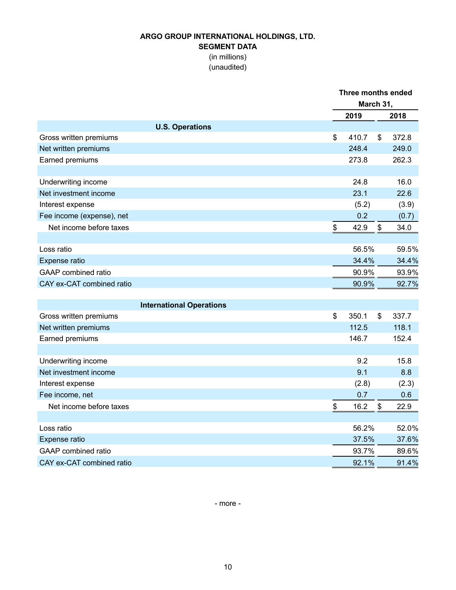### **ARGO GROUP INTERNATIONAL HOLDINGS, LTD. SEGMENT DATA**

(in millions) (unaudited)

|                                 |      | Three months ended<br>March 31, |       |  |
|---------------------------------|------|---------------------------------|-------|--|
|                                 |      |                                 |       |  |
|                                 | 2019 |                                 | 2018  |  |
| <b>U.S. Operations</b>          |      |                                 |       |  |
| Gross written premiums          | \$   | 410.7<br>\$                     | 372.8 |  |
| Net written premiums            |      | 248.4                           | 249.0 |  |
| Earned premiums                 |      | 273.8                           | 262.3 |  |
|                                 |      |                                 |       |  |
| Underwriting income             |      | 24.8                            | 16.0  |  |
| Net investment income           |      | 23.1                            | 22.6  |  |
| Interest expense                |      | (5.2)                           | (3.9) |  |
| Fee income (expense), net       |      | 0.2                             | (0.7) |  |
| Net income before taxes         | \$   | \$<br>42.9                      | 34.0  |  |
|                                 |      |                                 |       |  |
| Loss ratio                      |      | 56.5%                           | 59.5% |  |
| <b>Expense ratio</b>            |      | 34.4%                           | 34.4% |  |
| GAAP combined ratio             |      | 90.9%                           | 93.9% |  |
| CAY ex-CAT combined ratio       |      | 90.9%                           | 92.7% |  |
|                                 |      |                                 |       |  |
| <b>International Operations</b> |      |                                 |       |  |
| Gross written premiums          | \$   | 350.1<br>\$                     | 337.7 |  |
| Net written premiums            |      | 112.5                           | 118.1 |  |
| Earned premiums                 |      | 146.7                           | 152.4 |  |
|                                 |      |                                 |       |  |
| Underwriting income             |      | 9.2                             | 15.8  |  |
| Net investment income           |      | 9.1                             | 8.8   |  |
| Interest expense                |      | (2.8)                           | (2.3) |  |
| Fee income, net                 |      | 0.7                             | 0.6   |  |
| Net income before taxes         | \$   | \$<br>16.2                      | 22.9  |  |
|                                 |      |                                 |       |  |
| Loss ratio                      |      | 56.2%                           | 52.0% |  |
| <b>Expense ratio</b>            |      | 37.5%                           | 37.6% |  |
| GAAP combined ratio             |      | 93.7%                           | 89.6% |  |
| CAY ex-CAT combined ratio       |      | 92.1%                           | 91.4% |  |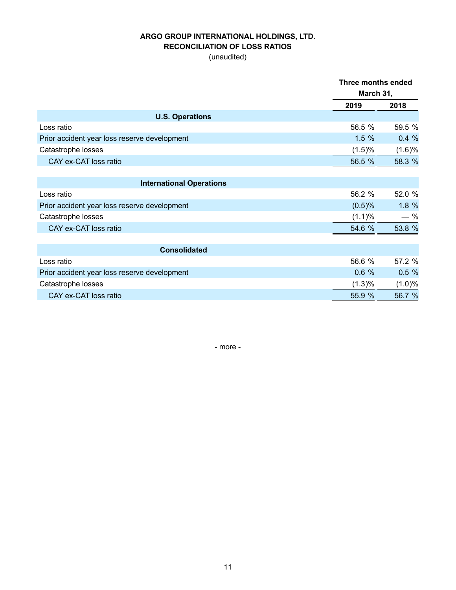### **ARGO GROUP INTERNATIONAL HOLDINGS, LTD. RECONCILIATION OF LOSS RATIOS**

(unaudited)

|                                              | Three months ended |        |
|----------------------------------------------|--------------------|--------|
|                                              | March 31,          |        |
|                                              | 2019               | 2018   |
| <b>U.S. Operations</b>                       |                    |        |
| Loss ratio                                   | 56.5 %             | 59.5 % |
| Prior accident year loss reserve development | 1.5%               | 0.4%   |
| Catastrophe losses                           | $(1.5)\%$          | (1.6)% |
| CAY ex-CAT loss ratio                        | 56.5 %             | 58.3 % |
| <b>International Operations</b>              |                    |        |
| Loss ratio                                   | 56.2 %             | 52.0 % |
| Prior accident year loss reserve development | $(0.5)$ %          | 1.8 %  |
| Catastrophe losses                           | (1.1)%             | $-$ %  |
| CAY ex-CAT loss ratio                        | 54.6 %             | 53.8 % |
|                                              |                    |        |
| <b>Consolidated</b>                          |                    |        |
| Loss ratio                                   | 56.6 %             | 57.2 % |
| Prior accident year loss reserve development | 0.6%               | 0.5%   |
| Catastrophe losses                           | $(1.3)\%$          | (1.0)% |
| CAY ex-CAT loss ratio                        | 55.9 %             | 56.7 % |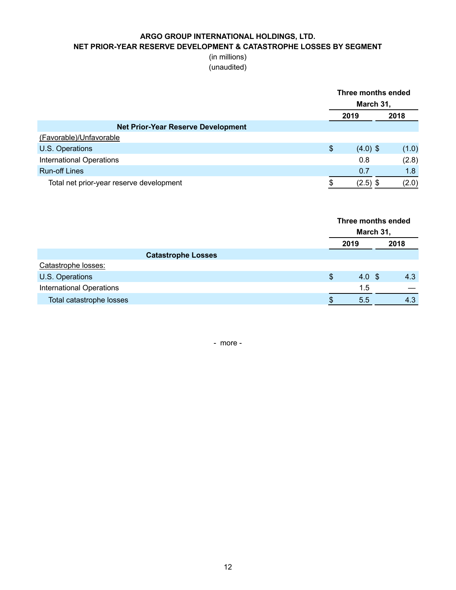### **ARGO GROUP INTERNATIONAL HOLDINGS, LTD. NET PRIOR-YEAR RESERVE DEVELOPMENT & CATASTROPHE LOSSES BY SEGMENT**

## (in millions) (unaudited)

|                                           | Three months ended<br>March 31, |            |       |
|-------------------------------------------|---------------------------------|------------|-------|
|                                           | 2019                            |            | 2018  |
| <b>Net Prior-Year Reserve Development</b> |                                 |            |       |
| (Favorable)/Unfavorable                   |                                 |            |       |
| U.S. Operations                           | \$                              | $(4.0)$ \$ | (1.0) |
| <b>International Operations</b>           |                                 | 0.8        | (2.8) |
| <b>Run-off Lines</b>                      |                                 | 0.7        | 1.8   |
| Total net prior-year reserve development  |                                 | $(2.5)$ \$ | (2.0) |

|                                 |      |                  | Three months ended<br>March 31, |
|---------------------------------|------|------------------|---------------------------------|
|                                 | 2019 |                  | 2018                            |
| <b>Catastrophe Losses</b>       |      |                  |                                 |
| Catastrophe losses:             |      |                  |                                 |
| U.S. Operations                 | \$   | $4.0 \text{ } $$ | 4.3                             |
| <b>International Operations</b> |      | 1.5              |                                 |
| Total catastrophe losses        | \$   | 5.5              | 4.3                             |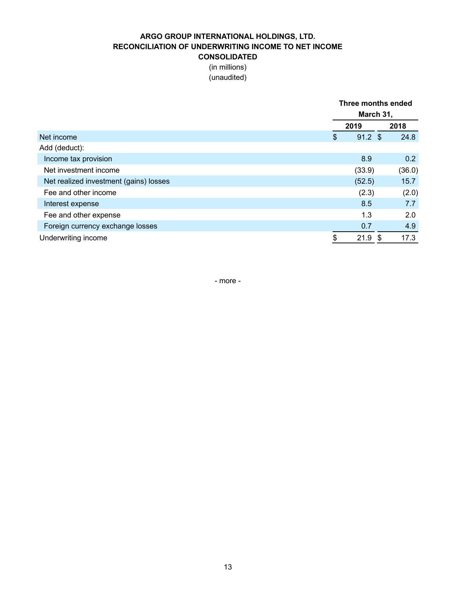# **ARGO GROUP INTERNATIONAL HOLDINGS, LTD. RECONCILIATION OF UNDERWRITING INCOME TO NET INCOME**

**CONSOLIDATED** (in millions) (unaudited)

|                                        |               | Three months ended |    |        |  |
|----------------------------------------|---------------|--------------------|----|--------|--|
|                                        |               | March 31,          |    |        |  |
|                                        |               | 2019               |    | 2018   |  |
| Net income                             | $\frac{1}{2}$ | $91.2 \text{ } $$  |    | 24.8   |  |
| Add (deduct):                          |               |                    |    |        |  |
| Income tax provision                   |               | 8.9                |    | 0.2    |  |
| Net investment income                  |               | (33.9)             |    | (36.0) |  |
| Net realized investment (gains) losses |               | (52.5)             |    | 15.7   |  |
| Fee and other income                   |               | (2.3)              |    | (2.0)  |  |
| Interest expense                       |               | 8.5                |    | 7.7    |  |
| Fee and other expense                  |               | 1.3                |    | 2.0    |  |
| Foreign currency exchange losses       |               | 0.7                |    | 4.9    |  |
| Underwriting income                    | \$            | 21.9               | \$ | 17.3   |  |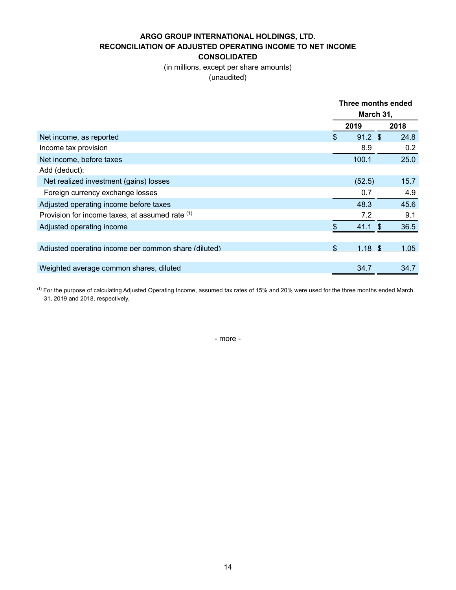# **ARGO GROUP INTERNATIONAL HOLDINGS, LTD. RECONCILIATION OF ADJUSTED OPERATING INCOME TO NET INCOME**

**CONSOLIDATED**

(in millions, except per share amounts)

(unaudited)

|                                                      | Three months ended |                    |  |      |
|------------------------------------------------------|--------------------|--------------------|--|------|
|                                                      |                    | March 31,          |  |      |
|                                                      |                    | 2019               |  | 2018 |
| Net income, as reported                              | \$                 | $91.2$ \$          |  | 24.8 |
| Income tax provision                                 |                    | 8.9                |  | 0.2  |
| Net income, before taxes                             |                    | 100.1              |  | 25.0 |
| Add (deduct):                                        |                    |                    |  |      |
| Net realized investment (gains) losses               |                    | (52.5)             |  | 15.7 |
| Foreign currency exchange losses                     |                    | 0.7                |  | 4.9  |
| Adjusted operating income before taxes               |                    | 48.3               |  | 45.6 |
| Provision for income taxes, at assumed rate (1)      |                    | 7.2                |  | 9.1  |
| Adjusted operating income                            | \$                 | $41.1 \text{ }$ \$ |  | 36.5 |
|                                                      |                    |                    |  |      |
| Adjusted operating income per common share (diluted) |                    | .18 S              |  | 1.05 |
|                                                      |                    |                    |  |      |
| Weighted average common shares, diluted              |                    | 34.7               |  | 34.7 |

(1) For the purpose of calculating Adjusted Operating Income, assumed tax rates of 15% and 20% were used for the three months ended March 31, 2019 and 2018, respectively.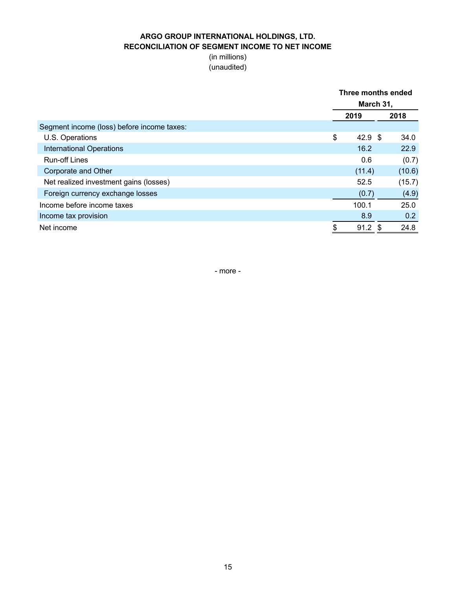### **ARGO GROUP INTERNATIONAL HOLDINGS, LTD. RECONCILIATION OF SEGMENT INCOME TO NET INCOME**

(in millions) (unaudited)

|                                            | Three months ended<br>March 31, |    |        |  |
|--------------------------------------------|---------------------------------|----|--------|--|
|                                            | 2019                            |    | 2018   |  |
| Segment income (loss) before income taxes: |                                 |    |        |  |
| U.S. Operations                            | \$<br>42.9 <sup>°</sup>         |    | 34.0   |  |
| <b>International Operations</b>            | 16.2                            |    | 22.9   |  |
| <b>Run-off Lines</b>                       | 0.6                             |    | (0.7)  |  |
| Corporate and Other                        | (11.4)                          |    | (10.6) |  |
| Net realized investment gains (losses)     | 52.5                            |    | (15.7) |  |
| Foreign currency exchange losses           | (0.7)                           |    | (4.9)  |  |
| Income before income taxes                 | 100.1                           |    | 25.0   |  |
| Income tax provision                       | 8.9                             |    | 0.2    |  |
| Net income                                 | \$<br>91.2                      | -S | 24.8   |  |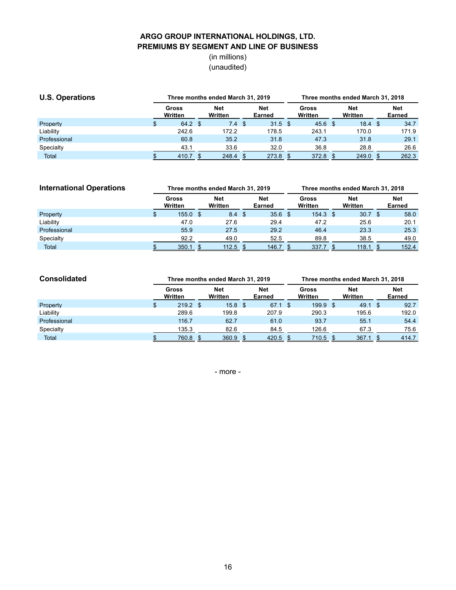## **ARGO GROUP INTERNATIONAL HOLDINGS, LTD. PREMIUMS BY SEGMENT AND LINE OF BUSINESS**

## (in millions) (unaudited)

| <b>U.S. Operations</b> | Three months ended March 31, 2019 |  |                |     |               |     | Three months ended March 31, 2018 |  |                       |  |                      |  |
|------------------------|-----------------------------------|--|----------------|-----|---------------|-----|-----------------------------------|--|-----------------------|--|----------------------|--|
|                        | <b>Gross</b><br>Written           |  | Net<br>Written |     | Net<br>Earned |     | <b>Gross</b><br>Written           |  | <b>Net</b><br>Written |  | <b>Net</b><br>Earned |  |
| Property               | 64.2 \$                           |  | 7.4            | -\$ | 31.5          | -\$ | 45.6 <sup>5</sup>                 |  | 18.4 <sup>5</sup>     |  | 34.7                 |  |
| Liability              | 242.6                             |  | 172.2          |     | 178.5         |     | 243.1                             |  | 170.0                 |  | 171.9                |  |
| Professional           | 60.8                              |  | 35.2           |     | 31.8          |     | 47.3                              |  | 31.8                  |  | 29.1                 |  |
| Specialty              | 43.1                              |  | 33.6           |     | 32.0          |     | 36.8                              |  | 28.8                  |  | 26.6                 |  |
| Total                  | 410.7                             |  | 248.4          |     | 273.8         |     | 372.8                             |  | 249.0                 |  | 262.3                |  |

| <b>International Operations</b> | Three months ended March 31, 2019 |  |                       |      |                      |      | Three months ended March 31, 2018 |  |                       |  |                      |  |
|---------------------------------|-----------------------------------|--|-----------------------|------|----------------------|------|-----------------------------------|--|-----------------------|--|----------------------|--|
|                                 | Gross<br>Written                  |  | <b>Net</b><br>Written |      | <b>Net</b><br>Earned |      | Gross<br>Written                  |  | <b>Net</b><br>Written |  | <b>Net</b><br>Earned |  |
| Property                        | $155.0$ \$                        |  | 8.4                   | - \$ | 35.6                 | - \$ | $154.3$ \$                        |  | 30.7 <sup>5</sup>     |  | 58.0                 |  |
| Liability                       | 47.0                              |  | 27.6                  |      | 29.4                 |      | 47.2                              |  | 25.6                  |  | 20.1                 |  |
| Professional                    | 55.9                              |  | 27.5                  |      | 29.2                 |      | 46.4                              |  | 23.3                  |  | 25.3                 |  |
| Specialty                       | 92.2                              |  | 49.0                  |      | 52.5                 |      | 89.8                              |  | 38.5                  |  | 49.0                 |  |
| Total                           | 350.1                             |  | 112.5                 |      | 146.7                |      | 337.7                             |  | 118.1                 |  | 152.4                |  |

| <b>Consolidated</b> | Three months ended March 31, 2019 |  |                       |  |                      | Three months ended March 31, 2018 |                  |  |                       |  |               |
|---------------------|-----------------------------------|--|-----------------------|--|----------------------|-----------------------------------|------------------|--|-----------------------|--|---------------|
|                     | Gross<br>Written                  |  | <b>Net</b><br>Written |  | <b>Net</b><br>Earned |                                   | Gross<br>Written |  | <b>Net</b><br>Written |  | Net<br>Earned |
| Property            | $219.2$ \$                        |  | 15.8 <sup>°</sup>     |  | 67.1                 |                                   | 199.9            |  | 49.1 S                |  | 92.7          |
| Liability           | 289.6                             |  | 199.8                 |  | 207.9                |                                   | 290.3            |  | 195.6                 |  | 192.0         |
| Professional        | 116.7                             |  | 62.7                  |  | 61.0                 |                                   | 93.7             |  | 55.1                  |  | 54.4          |
| Specialty           | 135.3                             |  | 82.6                  |  | 84.5                 |                                   | 126.6            |  | 67.3                  |  | 75.6          |
| Total               | 760.8                             |  | 360.9                 |  | 420.5                |                                   | 710.5            |  | 367.1                 |  | 414.7         |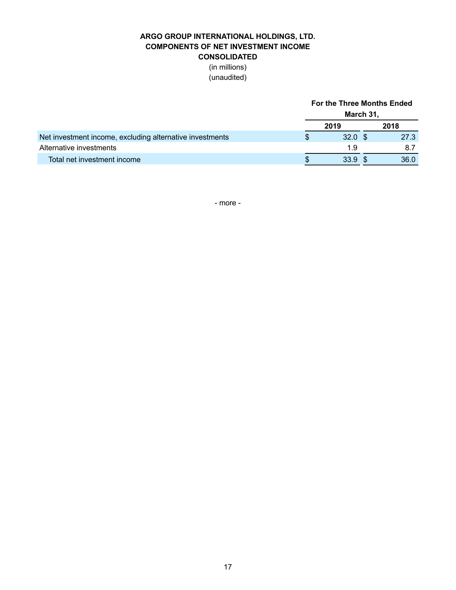# **ARGO GROUP INTERNATIONAL HOLDINGS, LTD. COMPONENTS OF NET INVESTMENT INCOME CONSOLIDATED**

(in millions) (unaudited)

|                                                          |     | <b>For the Three Months Ended</b><br>March 31, |      |
|----------------------------------------------------------|-----|------------------------------------------------|------|
|                                                          |     | 2019                                           | 2018 |
| Net investment income, excluding alternative investments | \$. | $32.0 \text{ }$ \$                             | 27.3 |
| Alternative investments                                  |     | 1.9                                            | 8.7  |
| Total net investment income                              |     | 33.9                                           | 36.0 |